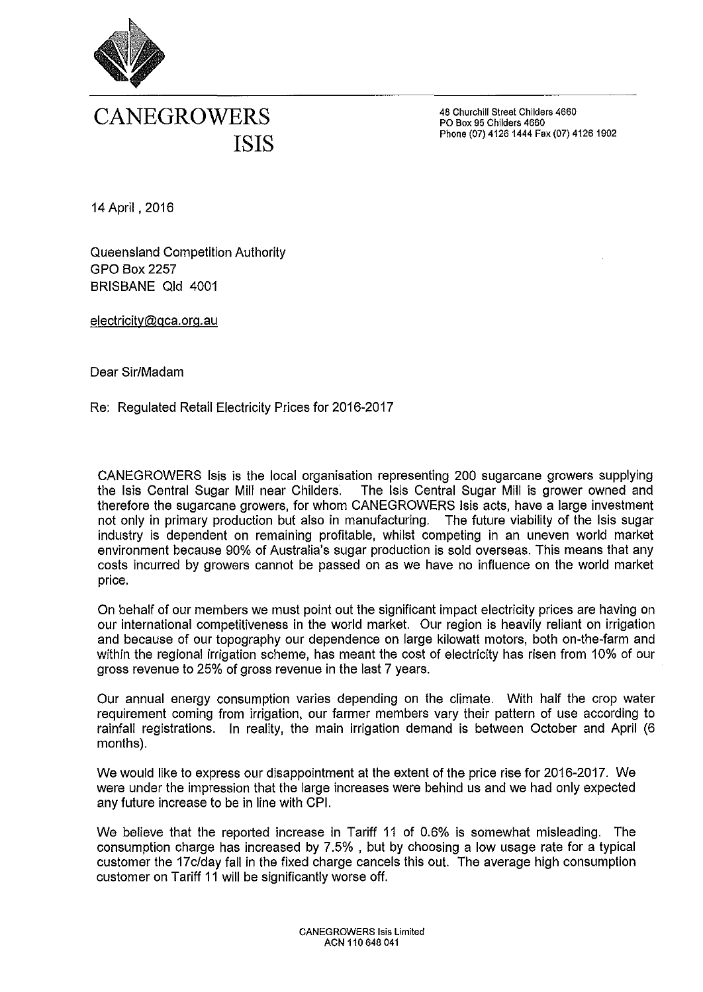

## **CANEGROWERS ISIS**

46 Churchill Street Childers 4660 PO Box 95 Childers 4660 Phone (07) 4126 1444 Fax (07) 4126 1902

14 April, 2016

Queensland Competition Authority GPO Box2257 BRISBANE Qld 4001

electricitv@qca.org.au

Dear Sir/Madam

Re: Regulated Retail Electricity Prices for 2016-2017

CANEGROWERS Isis is the local organisation representing 200 sugarcane growers supplying the Isis Central Sugar Mill near Childers. The Isis Central Sugar Mill is grower owned and therefore the sugarcane growers, for whom CANEGROWERS Isis acts, have a large investment not only in primary production but also in manufacturing. The future viability of the Isis sugar industry is dependent on remaining profitable, whilst competing in an uneven world market environment because 90% of Australia's sugar production is sold overseas. This means that any costs incurred by growers cannot be passed on as we have no influence on the world market price.

On behalf of our members we must point out the significant impact electricity prices are having on our international competitiveness in the world market. Our region is heavily reliant on irrigation and because of our topography our dependence on large kilowatt motors, both on-the-farm and within the regional irrigation scheme, has meant the cost of electricity has risen from 10% of our gross revenue to 25% of gross revenue in the last 7 years.

Our annual energy consumption varies depending on the climate. With half the crop water requirement coming from irrigation, our farmer members vary their pattern of use according to rainfall registrations. In reality, the main irrigation demand is between October and April (6 months).

We would like to express our disappointment at the extent of the price rise for 2016-2017. We were under the impression that the large increases were behind us and we had only expected any future increase to be in line with CPl.

We believe that the reported increase in Tariff 11 of 0.6% is somewhat misleading. The consumption charge has increased by 7.5% , but by choosing a low usage rate for a typical customer the 17c/day fall in the fixed charge cancels this out. The average high consumption customer on Tariff 11 will be significantly worse off.